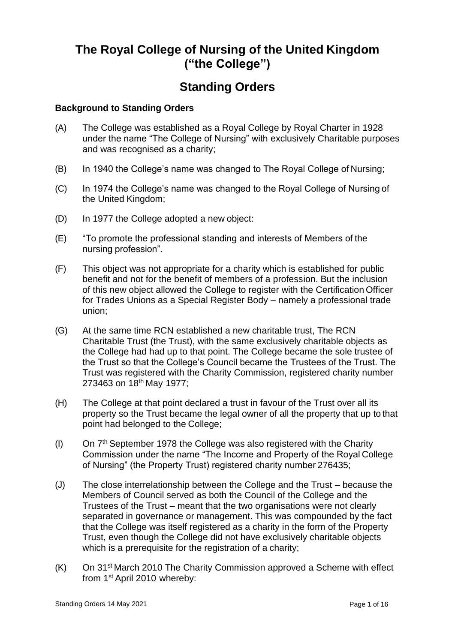# **The Royal College of Nursing of the United Kingdom ("the College")**

# **Standing Orders**

## **Background to Standing Orders**

- (A) The College was established as a Royal College by Royal Charter in 1928 under the name "The College of Nursing" with exclusively Charitable purposes and was recognised as a charity;
- (B) In 1940 the College's name was changed to The Royal College of Nursing;
- (C) In 1974 the College's name was changed to the Royal College of Nursing of the United Kingdom;
- (D) In 1977 the College adopted a new object:
- (E) "To promote the professional standing and interests of Members of the nursing profession".
- (F) This object was not appropriate for a charity which is established for public benefit and not for the benefit of members of a profession. But the inclusion of this new object allowed the College to register with the Certification Officer for Trades Unions as a Special Register Body – namely a professional trade union;
- (G) At the same time RCN established a new charitable trust, The RCN Charitable Trust (the Trust), with the same exclusively charitable objects as the College had had up to that point. The College became the sole trustee of the Trust so that the College's Council became the Trustees of the Trust. The Trust was registered with the Charity Commission, registered charity number 273463 on 18th May 1977;
- (H) The College at that point declared a trust in favour of the Trust over all its property so the Trust became the legal owner of all the property that up to that point had belonged to the College;
- (I) On  $7<sup>th</sup>$  September 1978 the College was also registered with the Charity Commission under the name "The Income and Property of the Royal College of Nursing" (the Property Trust) registered charity number 276435;
- (J) The close interrelationship between the College and the Trust because the Members of Council served as both the Council of the College and the Trustees of the Trust – meant that the two organisations were not clearly separated in governance or management. This was compounded by the fact that the College was itself registered as a charity in the form of the Property Trust, even though the College did not have exclusively charitable objects which is a prerequisite for the registration of a charity;
- (K) On 31st March 2010 The Charity Commission approved a Scheme with effect from 1st April 2010 whereby: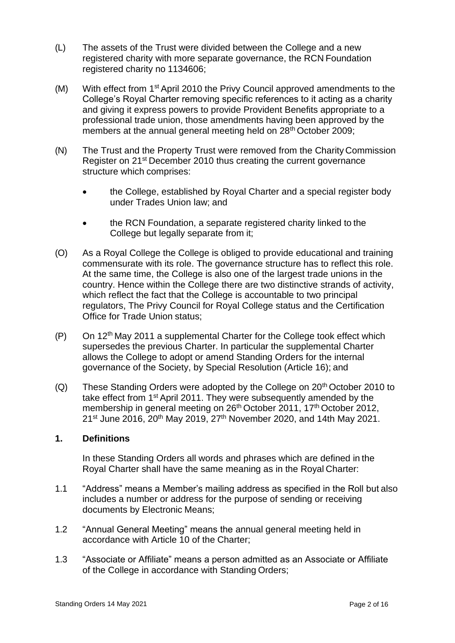- (L) The assets of the Trust were divided between the College and a new registered charity with more separate governance, the RCN Foundation registered charity no 1134606;
- (M) With effect from 1st April 2010 the Privy Council approved amendments to the College's Royal Charter removing specific references to it acting as a charity and giving it express powers to provide Provident Benefits appropriate to a professional trade union, those amendments having been approved by the members at the annual general meeting held on 28<sup>th</sup> October 2009;
- (N) The Trust and the Property Trust were removed from the Charity Commission Register on 21st December 2010 thus creating the current governance structure which comprises:
	- the College, established by Royal Charter and a special register body under Trades Union law; and
	- the RCN Foundation, a separate registered charity linked to the College but legally separate from it;
- (O) As a Royal College the College is obliged to provide educational and training commensurate with its role. The governance structure has to reflect this role. At the same time, the College is also one of the largest trade unions in the country. Hence within the College there are two distinctive strands of activity, which reflect the fact that the College is accountable to two principal regulators, The Privy Council for Royal College status and the Certification Office for Trade Union status;
- $(P)$  On 12<sup>th</sup> May 2011 a supplemental Charter for the College took effect which supersedes the previous Charter. In particular the supplemental Charter allows the College to adopt or amend Standing Orders for the internal governance of the Society, by Special Resolution (Article 16); and
- (Q) These Standing Orders were adopted by the College on  $20<sup>th</sup>$  October 2010 to take effect from 1st April 2011. They were subsequently amended by the membership in general meeting on 26<sup>th</sup> October 2011, 17<sup>th</sup> October 2012, 21<sup>st</sup> June 2016, 20<sup>th</sup> May 2019, 27<sup>th</sup> November 2020, and 14th May 2021.

## **1. Definitions**

In these Standing Orders all words and phrases which are defined in the Royal Charter shall have the same meaning as in the Royal Charter:

- 1.1 "Address" means a Member's mailing address as specified in the Roll but also includes a number or address for the purpose of sending or receiving documents by Electronic Means;
- 1.2 "Annual General Meeting" means the annual general meeting held in accordance with Article 10 of the Charter;
- 1.3 "Associate or Affiliate" means a person admitted as an Associate or Affiliate of the College in accordance with Standing Orders;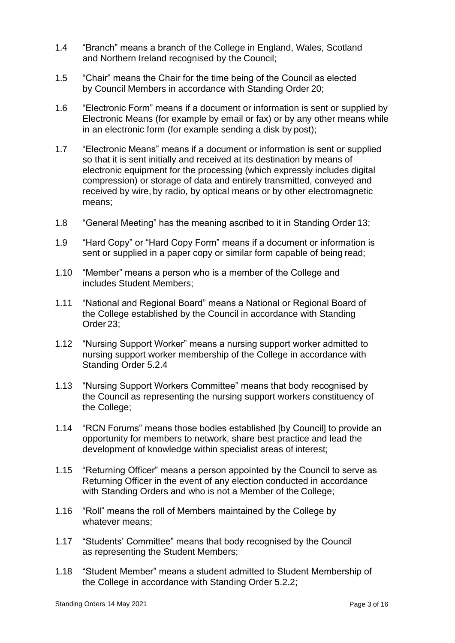- 1.4 "Branch" means a branch of the College in England, Wales, Scotland and Northern Ireland recognised by the Council;
- 1.5 "Chair" means the Chair for the time being of the Council as elected by Council Members in accordance with Standing Order 20;
- 1.6 "Electronic Form" means if a document or information is sent or supplied by Electronic Means (for example by email or fax) or by any other means while in an electronic form (for example sending a disk by post);
- 1.7 "Electronic Means" means if a document or information is sent or supplied so that it is sent initially and received at its destination by means of electronic equipment for the processing (which expressly includes digital compression) or storage of data and entirely transmitted, conveyed and received by wire, by radio, by optical means or by other electromagnetic means;
- 1.8 "General Meeting" has the meaning ascribed to it in Standing Order 13;
- 1.9 "Hard Copy" or "Hard Copy Form" means if a document or information is sent or supplied in a paper copy or similar form capable of being read;
- 1.10 "Member" means a person who is a member of the College and includes Student Members;
- 1.11 "National and Regional Board" means a National or Regional Board of the College established by the Council in accordance with Standing Order 23;
- 1.12 "Nursing Support Worker" means a nursing support worker admitted to nursing support worker membership of the College in accordance with Standing Order 5.2.4
- 1.13 "Nursing Support Workers Committee" means that body recognised by the Council as representing the nursing support workers constituency of the College;
- 1.14 "RCN Forums" means those bodies established [by Council] to provide an opportunity for members to network, share best practice and lead the development of knowledge within specialist areas of interest;
- 1.15 "Returning Officer" means a person appointed by the Council to serve as Returning Officer in the event of any election conducted in accordance with Standing Orders and who is not a Member of the College;
- 1.16 "Roll" means the roll of Members maintained by the College by whatever means;
- 1.17 "Students' Committee" means that body recognised by the Council as representing the Student Members;
- 1.18 "Student Member" means a student admitted to Student Membership of the College in accordance with Standing Order 5.2.2;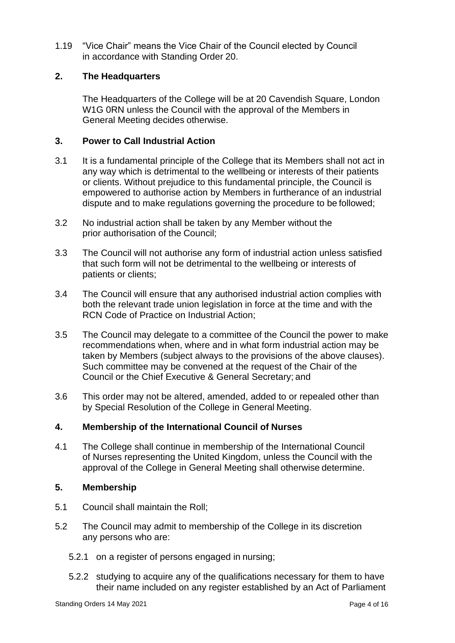1.19 "Vice Chair" means the Vice Chair of the Council elected by Council in accordance with Standing Order 20.

## **2. The Headquarters**

The Headquarters of the College will be at 20 Cavendish Square, London W1G 0RN unless the Council with the approval of the Members in General Meeting decides otherwise.

### **3. Power to Call Industrial Action**

- 3.1 It is a fundamental principle of the College that its Members shall not act in any way which is detrimental to the wellbeing or interests of their patients or clients. Without prejudice to this fundamental principle, the Council is empowered to authorise action by Members in furtherance of an industrial dispute and to make regulations governing the procedure to be followed;
- 3.2 No industrial action shall be taken by any Member without the prior authorisation of the Council;
- 3.3 The Council will not authorise any form of industrial action unless satisfied that such form will not be detrimental to the wellbeing or interests of patients or clients;
- 3.4 The Council will ensure that any authorised industrial action complies with both the relevant trade union legislation in force at the time and with the RCN Code of Practice on Industrial Action;
- 3.5 The Council may delegate to a committee of the Council the power to make recommendations when, where and in what form industrial action may be taken by Members (subject always to the provisions of the above clauses). Such committee may be convened at the request of the Chair of the Council or the Chief Executive & General Secretary; and
- 3.6 This order may not be altered, amended, added to or repealed other than by Special Resolution of the College in General Meeting.

## **4. Membership of the International Council of Nurses**

4.1 The College shall continue in membership of the International Council of Nurses representing the United Kingdom, unless the Council with the approval of the College in General Meeting shall otherwise determine.

#### **5. Membership**

- 5.1 Council shall maintain the Roll;
- 5.2 The Council may admit to membership of the College in its discretion any persons who are:
	- 5.2.1 on a register of persons engaged in nursing;
	- 5.2.2 studying to acquire any of the qualifications necessary for them to have their name included on any register established by an Act of Parliament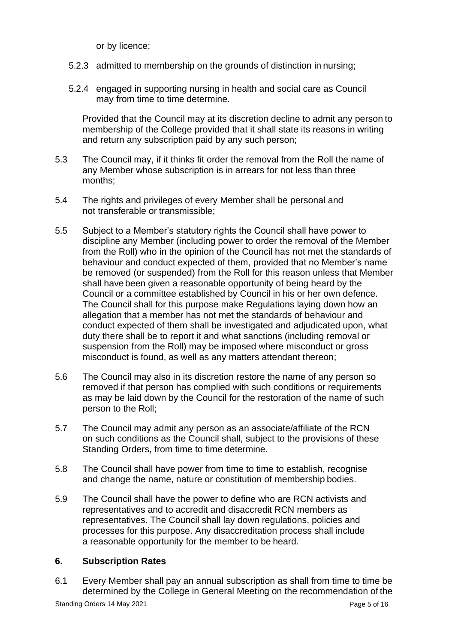or by licence;

- 5.2.3 admitted to membership on the grounds of distinction in nursing;
- 5.2.4 engaged in supporting nursing in health and social care as Council may from time to time determine.

Provided that the Council may at its discretion decline to admit any person to membership of the College provided that it shall state its reasons in writing and return any subscription paid by any such person;

- 5.3 The Council may, if it thinks fit order the removal from the Roll the name of any Member whose subscription is in arrears for not less than three months;
- 5.4 The rights and privileges of every Member shall be personal and not transferable or transmissible;
- 5.5 Subject to a Member's statutory rights the Council shall have power to discipline any Member (including power to order the removal of the Member from the Roll) who in the opinion of the Council has not met the standards of behaviour and conduct expected of them, provided that no Member's name be removed (or suspended) from the Roll for this reason unless that Member shall have been given a reasonable opportunity of being heard by the Council or a committee established by Council in his or her own defence. The Council shall for this purpose make Regulations laying down how an allegation that a member has not met the standards of behaviour and conduct expected of them shall be investigated and adjudicated upon, what duty there shall be to report it and what sanctions (including removal or suspension from the Roll) may be imposed where misconduct or gross misconduct is found, as well as any matters attendant thereon;
- 5.6 The Council may also in its discretion restore the name of any person so removed if that person has complied with such conditions or requirements as may be laid down by the Council for the restoration of the name of such person to the Roll;
- 5.7 The Council may admit any person as an associate/affiliate of the RCN on such conditions as the Council shall, subject to the provisions of these Standing Orders, from time to time determine.
- 5.8 The Council shall have power from time to time to establish, recognise and change the name, nature or constitution of membership bodies.
- 5.9 The Council shall have the power to define who are RCN activists and representatives and to accredit and disaccredit RCN members as representatives. The Council shall lay down regulations, policies and processes for this purpose. Any disaccreditation process shall include a reasonable opportunity for the member to be heard.

#### **6. Subscription Rates**

6.1 Every Member shall pay an annual subscription as shall from time to time be determined by the College in General Meeting on the recommendation of the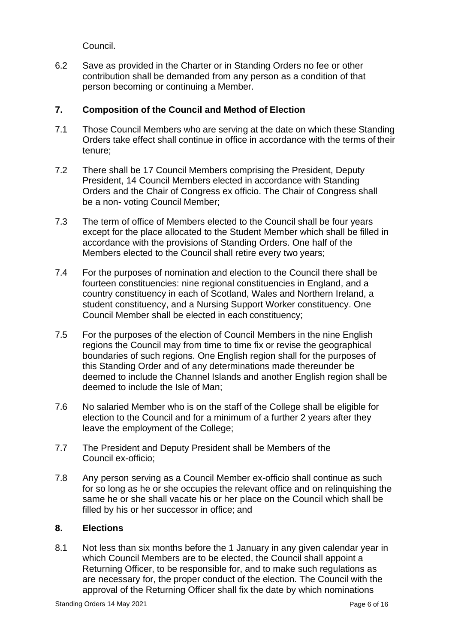Council.

6.2 Save as provided in the Charter or in Standing Orders no fee or other contribution shall be demanded from any person as a condition of that person becoming or continuing a Member.

## **7. Composition of the Council and Method of Election**

- 7.1 Those Council Members who are serving at the date on which these Standing Orders take effect shall continue in office in accordance with the terms of their tenure;
- 7.2 There shall be 17 Council Members comprising the President, Deputy President, 14 Council Members elected in accordance with Standing Orders and the Chair of Congress ex officio. The Chair of Congress shall be a non- voting Council Member;
- 7.3 The term of office of Members elected to the Council shall be four years except for the place allocated to the Student Member which shall be filled in accordance with the provisions of Standing Orders. One half of the Members elected to the Council shall retire every two years;
- 7.4 For the purposes of nomination and election to the Council there shall be fourteen constituencies: nine regional constituencies in England, and a country constituency in each of Scotland, Wales and Northern Ireland, a student constituency, and a Nursing Support Worker constituency. One Council Member shall be elected in each constituency;
- 7.5 For the purposes of the election of Council Members in the nine English regions the Council may from time to time fix or revise the geographical boundaries of such regions. One English region shall for the purposes of this Standing Order and of any determinations made thereunder be deemed to include the Channel Islands and another English region shall be deemed to include the Isle of Man;
- 7.6 No salaried Member who is on the staff of the College shall be eligible for election to the Council and for a minimum of a further 2 years after they leave the employment of the College;
- 7.7 The President and Deputy President shall be Members of the Council ex-officio;
- 7.8 Any person serving as a Council Member ex-officio shall continue as such for so long as he or she occupies the relevant office and on relinquishing the same he or she shall vacate his or her place on the Council which shall be filled by his or her successor in office; and

## **8. Elections**

8.1 Not less than six months before the 1 January in any given calendar year in which Council Members are to be elected, the Council shall appoint a Returning Officer, to be responsible for, and to make such regulations as are necessary for, the proper conduct of the election. The Council with the approval of the Returning Officer shall fix the date by which nominations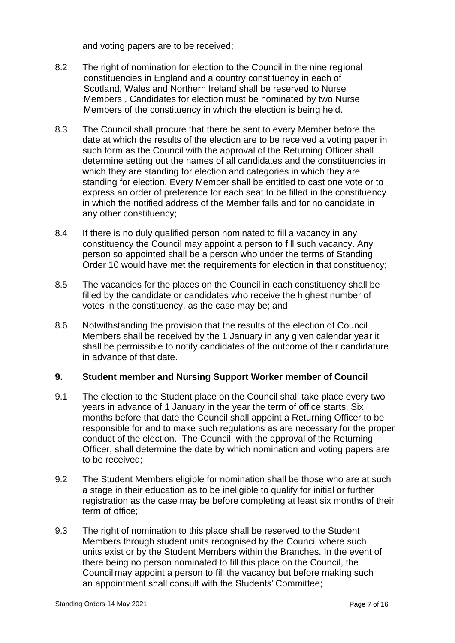and voting papers are to be received;

- 8.2 The right of nomination for election to the Council in the nine regional constituencies in England and a country constituency in each of Scotland, Wales and Northern Ireland shall be reserved to Nurse Members . Candidates for election must be nominated by two Nurse Members of the constituency in which the election is being held.
- 8.3 The Council shall procure that there be sent to every Member before the date at which the results of the election are to be received a voting paper in such form as the Council with the approval of the Returning Officer shall determine setting out the names of all candidates and the constituencies in which they are standing for election and categories in which they are standing for election. Every Member shall be entitled to cast one vote or to express an order of preference for each seat to be filled in the constituency in which the notified address of the Member falls and for no candidate in any other constituency;
- 8.4 If there is no duly qualified person nominated to fill a vacancy in any constituency the Council may appoint a person to fill such vacancy. Any person so appointed shall be a person who under the terms of Standing Order 10 would have met the requirements for election in that constituency;
- 8.5 The vacancies for the places on the Council in each constituency shall be filled by the candidate or candidates who receive the highest number of votes in the constituency, as the case may be; and
- 8.6 Notwithstanding the provision that the results of the election of Council Members shall be received by the 1 January in any given calendar year it shall be permissible to notify candidates of the outcome of their candidature in advance of that date.

## **9. Student member and Nursing Support Worker member of Council**

- 9.1 The election to the Student place on the Council shall take place every two years in advance of 1 January in the year the term of office starts. Six months before that date the Council shall appoint a Returning Officer to be responsible for and to make such regulations as are necessary for the proper conduct of the election. The Council, with the approval of the Returning Officer, shall determine the date by which nomination and voting papers are to be received;
- 9.2 The Student Members eligible for nomination shall be those who are at such a stage in their education as to be ineligible to qualify for initial or further registration as the case may be before completing at least six months of their term of office;
- 9.3 The right of nomination to this place shall be reserved to the Student Members through student units recognised by the Council where such units exist or by the Student Members within the Branches. In the event of there being no person nominated to fill this place on the Council, the Council may appoint a person to fill the vacancy but before making such an appointment shall consult with the Students' Committee;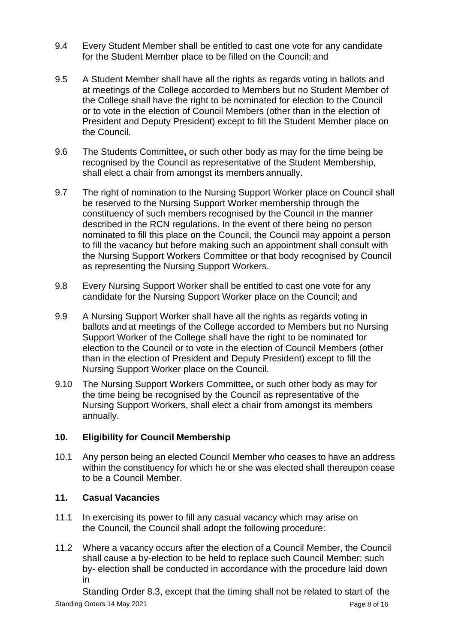- 9.4 Every Student Member shall be entitled to cast one vote for any candidate for the Student Member place to be filled on the Council; and
- 9.5 A Student Member shall have all the rights as regards voting in ballots and at meetings of the College accorded to Members but no Student Member of the College shall have the right to be nominated for election to the Council or to vote in the election of Council Members (other than in the election of President and Deputy President) except to fill the Student Member place on the Council.
- 9.6 The Students Committee**,** or such other body as may for the time being be recognised by the Council as representative of the Student Membership, shall elect a chair from amongst its members annually.
- 9.7 The right of nomination to the Nursing Support Worker place on Council shall be reserved to the Nursing Support Worker membership through the constituency of such members recognised by the Council in the manner described in the RCN regulations. In the event of there being no person nominated to fill this place on the Council, the Council may appoint a person to fill the vacancy but before making such an appointment shall consult with the Nursing Support Workers Committee or that body recognised by Council as representing the Nursing Support Workers.
- 9.8 Every Nursing Support Worker shall be entitled to cast one vote for any candidate for the Nursing Support Worker place on the Council; and
- 9.9 A Nursing Support Worker shall have all the rights as regards voting in ballots and at meetings of the College accorded to Members but no Nursing Support Worker of the College shall have the right to be nominated for election to the Council or to vote in the election of Council Members (other than in the election of President and Deputy President) except to fill the Nursing Support Worker place on the Council.
- 9.10 The Nursing Support Workers Committee**,** or such other body as may for the time being be recognised by the Council as representative of the Nursing Support Workers, shall elect a chair from amongst its members annually.

# **10. Eligibility for Council Membership**

10.1 Any person being an elected Council Member who ceases to have an address within the constituency for which he or she was elected shall thereupon cease to be a Council Member.

# **11. Casual Vacancies**

- 11.1 In exercising its power to fill any casual vacancy which may arise on the Council, the Council shall adopt the following procedure:
- 11.2 Where a vacancy occurs after the election of a Council Member, the Council shall cause a by-election to be held to replace such Council Member; such by- election shall be conducted in accordance with the procedure laid down in

Standing Orders 14 May 2021 **Page 8 of 16** Standing Orders 14 May 2021 Standing Order 8.3, except that the timing shall not be related to start of the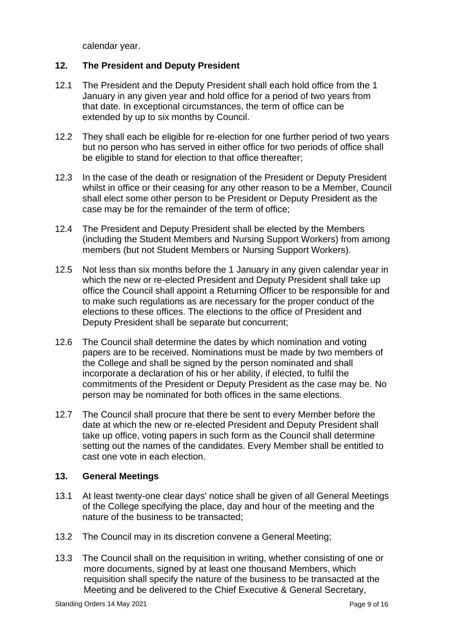calendar year.

# **12. The President and Deputy President**

- 12.1 The President and the Deputy President shall each hold office from the 1 January in any given year and hold office for a period of two years from that date. In exceptional circumstances, the term of office can be extended by up to six months by Council.
- 12.2 They shall each be eligible for re-election for one further period of two years but no person who has served in either office for two periods of office shall be eligible to stand for election to that office thereafter;
- 12.3 In the case of the death or resignation of the President or Deputy President whilst in office or their ceasing for any other reason to be a Member, Council shall elect some other person to be President or Deputy President as the case may be for the remainder of the term of office;
- 12.4 The President and Deputy President shall be elected by the Members (including the Student Members and Nursing Support Workers) from among members (but not Student Members or Nursing Support Workers).
- 12.5 Not less than six months before the 1 January in any given calendar year in which the new or re-elected President and Deputy President shall take up office the Council shall appoint a Returning Officer to be responsible for and to make such regulations as are necessary for the proper conduct of the elections to these offices. The elections to the office of President and Deputy President shall be separate but concurrent;
- 12.6 The Council shall determine the dates by which nomination and voting papers are to be received. Nominations must be made by two members of the College and shall be signed by the person nominated and shall incorporate a declaration of his or her ability, if elected, to fulfil the commitments of the President or Deputy President as the case may be. No person may be nominated for both offices in the same elections.
- 12.7 The Council shall procure that there be sent to every Member before the date at which the new or re-elected President and Deputy President shall take up office, voting papers in such form as the Council shall determine setting out the names of the candidates. Every Member shall be entitled to cast one vote in each election.

## **13. General Meetings**

- 13.1 At least twenty-one clear days' notice shall be given of all General Meetings of the College specifying the place, day and hour of the meeting and the nature of the business to be transacted;
- 13.2 The Council may in its discretion convene a General Meeting;
- 13.3 The Council shall on the requisition in writing, whether consisting of one or more documents, signed by at least one thousand Members, which requisition shall specify the nature of the business to be transacted at the Meeting and be delivered to the Chief Executive & General Secretary,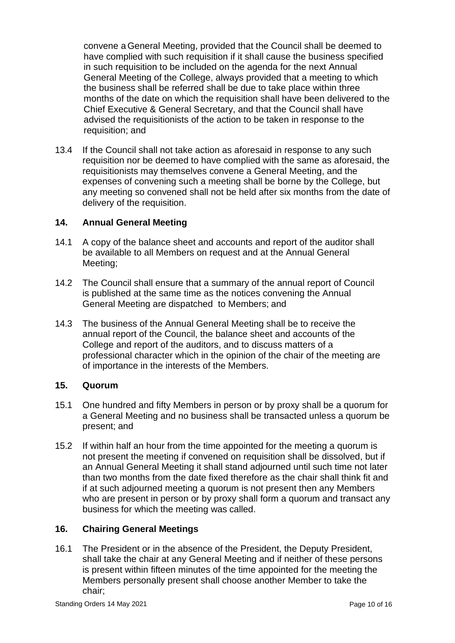convene a General Meeting, provided that the Council shall be deemed to have complied with such requisition if it shall cause the business specified in such requisition to be included on the agenda for the next Annual General Meeting of the College, always provided that a meeting to which the business shall be referred shall be due to take place within three months of the date on which the requisition shall have been delivered to the Chief Executive & General Secretary, and that the Council shall have advised the requisitionists of the action to be taken in response to the requisition; and

13.4 If the Council shall not take action as aforesaid in response to any such requisition nor be deemed to have complied with the same as aforesaid, the requisitionists may themselves convene a General Meeting, and the expenses of convening such a meeting shall be borne by the College, but any meeting so convened shall not be held after six months from the date of delivery of the requisition.

# **14. Annual General Meeting**

- 14.1 A copy of the balance sheet and accounts and report of the auditor shall be available to all Members on request and at the Annual General Meeting;
- 14.2 The Council shall ensure that a summary of the annual report of Council is published at the same time as the notices convening the Annual General Meeting are dispatched to Members; and
- 14.3 The business of the Annual General Meeting shall be to receive the annual report of the Council, the balance sheet and accounts of the College and report of the auditors, and to discuss matters of a professional character which in the opinion of the chair of the meeting are of importance in the interests of the Members.

### **15. Quorum**

- 15.1 One hundred and fifty Members in person or by proxy shall be a quorum for a General Meeting and no business shall be transacted unless a quorum be present; and
- 15.2 If within half an hour from the time appointed for the meeting a quorum is not present the meeting if convened on requisition shall be dissolved, but if an Annual General Meeting it shall stand adjourned until such time not later than two months from the date fixed therefore as the chair shall think fit and if at such adjourned meeting a quorum is not present then any Members who are present in person or by proxy shall form a quorum and transact any business for which the meeting was called.

## **16. Chairing General Meetings**

16.1 The President or in the absence of the President, the Deputy President, shall take the chair at any General Meeting and if neither of these persons is present within fifteen minutes of the time appointed for the meeting the Members personally present shall choose another Member to take the chair;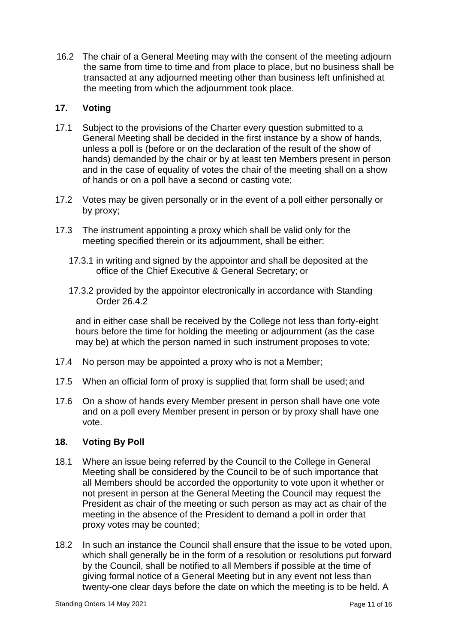16.2 The chair of a General Meeting may with the consent of the meeting adjourn the same from time to time and from place to place, but no business shall be transacted at any adjourned meeting other than business left unfinished at the meeting from which the adjournment took place.

# **17. Voting**

- 17.1 Subject to the provisions of the Charter every question submitted to a General Meeting shall be decided in the first instance by a show of hands, unless a poll is (before or on the declaration of the result of the show of hands) demanded by the chair or by at least ten Members present in person and in the case of equality of votes the chair of the meeting shall on a show of hands or on a poll have a second or casting vote;
- 17.2 Votes may be given personally or in the event of a poll either personally or by proxy;
- 17.3 The instrument appointing a proxy which shall be valid only for the meeting specified therein or its adjournment, shall be either:
	- 17.3.1 in writing and signed by the appointor and shall be deposited at the office of the Chief Executive & General Secretary; or
	- 17.3.2 provided by the appointor electronically in accordance with Standing Order 26.4.2

and in either case shall be received by the College not less than forty-eight hours before the time for holding the meeting or adjournment (as the case may be) at which the person named in such instrument proposes to vote;

- 17.4 No person may be appointed a proxy who is not a Member;
- 17.5 When an official form of proxy is supplied that form shall be used; and
- 17.6 On a show of hands every Member present in person shall have one vote and on a poll every Member present in person or by proxy shall have one vote.

## **18. Voting By Poll**

- 18.1 Where an issue being referred by the Council to the College in General Meeting shall be considered by the Council to be of such importance that all Members should be accorded the opportunity to vote upon it whether or not present in person at the General Meeting the Council may request the President as chair of the meeting or such person as may act as chair of the meeting in the absence of the President to demand a poll in order that proxy votes may be counted;
- 18.2 In such an instance the Council shall ensure that the issue to be voted upon, which shall generally be in the form of a resolution or resolutions put forward by the Council, shall be notified to all Members if possible at the time of giving formal notice of a General Meeting but in any event not less than twenty-one clear days before the date on which the meeting is to be held. A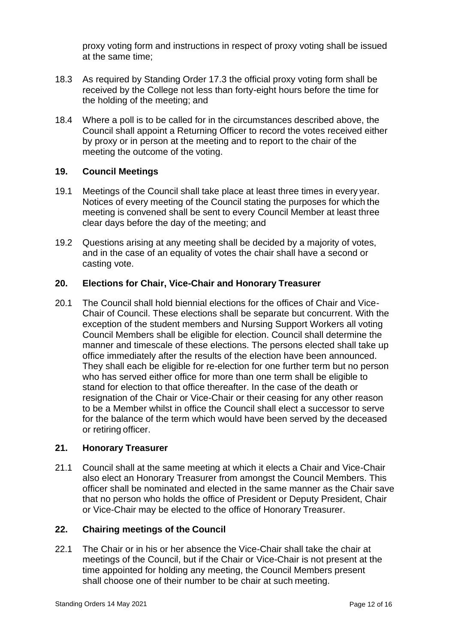proxy voting form and instructions in respect of proxy voting shall be issued at the same time;

- 18.3 As required by Standing Order 17.3 the official proxy voting form shall be received by the College not less than forty-eight hours before the time for the holding of the meeting; and
- 18.4 Where a poll is to be called for in the circumstances described above, the Council shall appoint a Returning Officer to record the votes received either by proxy or in person at the meeting and to report to the chair of the meeting the outcome of the voting.

### **19. Council Meetings**

- 19.1 Meetings of the Council shall take place at least three times in every year. Notices of every meeting of the Council stating the purposes for which the meeting is convened shall be sent to every Council Member at least three clear days before the day of the meeting; and
- 19.2 Questions arising at any meeting shall be decided by a majority of votes, and in the case of an equality of votes the chair shall have a second or casting vote.

### **20. Elections for Chair, Vice-Chair and Honorary Treasurer**

20.1 The Council shall hold biennial elections for the offices of Chair and Vice-Chair of Council. These elections shall be separate but concurrent. With the exception of the student members and Nursing Support Workers all voting Council Members shall be eligible for election. Council shall determine the manner and timescale of these elections. The persons elected shall take up office immediately after the results of the election have been announced. They shall each be eligible for re-election for one further term but no person who has served either office for more than one term shall be eligible to stand for election to that office thereafter. In the case of the death or resignation of the Chair or Vice-Chair or their ceasing for any other reason to be a Member whilst in office the Council shall elect a successor to serve for the balance of the term which would have been served by the deceased or retiring officer.

#### **21. Honorary Treasurer**

21.1 Council shall at the same meeting at which it elects a Chair and Vice-Chair also elect an Honorary Treasurer from amongst the Council Members. This officer shall be nominated and elected in the same manner as the Chair save that no person who holds the office of President or Deputy President, Chair or Vice-Chair may be elected to the office of Honorary Treasurer.

#### **22. Chairing meetings of the Council**

22.1 The Chair or in his or her absence the Vice-Chair shall take the chair at meetings of the Council, but if the Chair or Vice-Chair is not present at the time appointed for holding any meeting, the Council Members present shall choose one of their number to be chair at such meeting.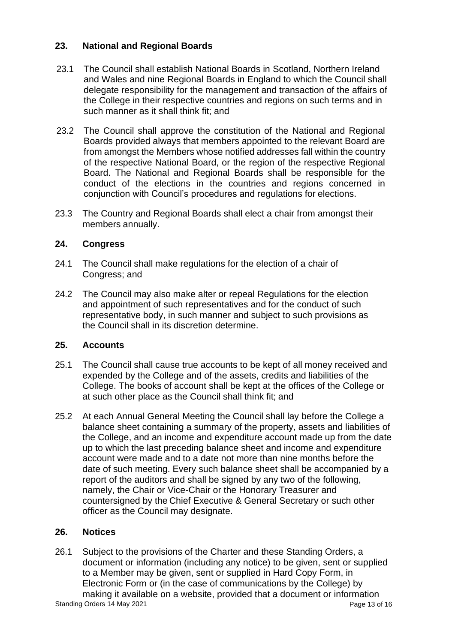# **23. National and Regional Boards**

- 23.1 The Council shall establish National Boards in Scotland, Northern Ireland and Wales and nine Regional Boards in England to which the Council shall delegate responsibility for the management and transaction of the affairs of the College in their respective countries and regions on such terms and in such manner as it shall think fit; and
- 23.2 The Council shall approve the constitution of the National and Regional Boards provided always that members appointed to the relevant Board are from amongst the Members whose notified addresses fall within the country of the respective National Board, or the region of the respective Regional Board. The National and Regional Boards shall be responsible for the conduct of the elections in the countries and regions concerned in conjunction with Council's procedures and regulations for elections.
- 23.3 The Country and Regional Boards shall elect a chair from amongst their members annually.

## **24. Congress**

- 24.1 The Council shall make regulations for the election of a chair of Congress; and
- 24.2 The Council may also make alter or repeal Regulations for the election and appointment of such representatives and for the conduct of such representative body, in such manner and subject to such provisions as the Council shall in its discretion determine.

## **25. Accounts**

- 25.1 The Council shall cause true accounts to be kept of all money received and expended by the College and of the assets, credits and liabilities of the College. The books of account shall be kept at the offices of the College or at such other place as the Council shall think fit; and
- 25.2 At each Annual General Meeting the Council shall lay before the College a balance sheet containing a summary of the property, assets and liabilities of the College, and an income and expenditure account made up from the date up to which the last preceding balance sheet and income and expenditure account were made and to a date not more than nine months before the date of such meeting. Every such balance sheet shall be accompanied by a report of the auditors and shall be signed by any two of the following, namely, the Chair or Vice-Chair or the Honorary Treasurer and countersigned by the Chief Executive & General Secretary or such other officer as the Council may designate.

## **26. Notices**

Standing Orders 14 May 2021 **Page 13 of 16** Standing Orders 14 May 2021 26.1 Subject to the provisions of the Charter and these Standing Orders, a document or information (including any notice) to be given, sent or supplied to a Member may be given, sent or supplied in Hard Copy Form, in Electronic Form or (in the case of communications by the College) by making it available on a website, provided that a document or information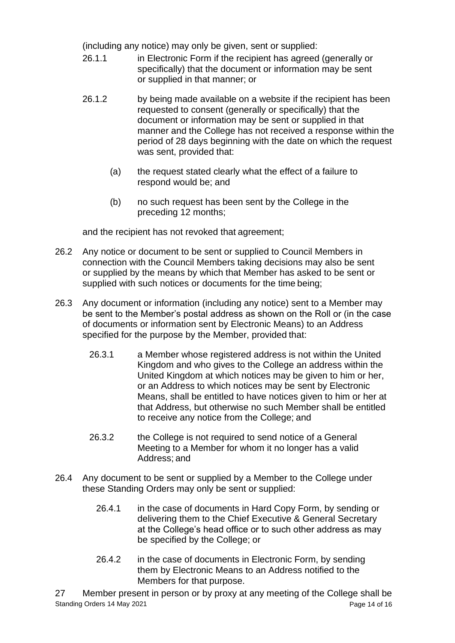(including any notice) may only be given, sent or supplied:

- 26.1.1 in Electronic Form if the recipient has agreed (generally or specifically) that the document or information may be sent or supplied in that manner; or
- 26.1.2 by being made available on a website if the recipient has been requested to consent (generally or specifically) that the document or information may be sent or supplied in that manner and the College has not received a response within the period of 28 days beginning with the date on which the request was sent, provided that:
	- (a) the request stated clearly what the effect of a failure to respond would be; and
	- (b) no such request has been sent by the College in the preceding 12 months;

and the recipient has not revoked that agreement;

- 26.2 Any notice or document to be sent or supplied to Council Members in connection with the Council Members taking decisions may also be sent or supplied by the means by which that Member has asked to be sent or supplied with such notices or documents for the time being;
- 26.3 Any document or information (including any notice) sent to a Member may be sent to the Member's postal address as shown on the Roll or (in the case of documents or information sent by Electronic Means) to an Address specified for the purpose by the Member, provided that:
	- 26.3.1 a Member whose registered address is not within the United Kingdom and who gives to the College an address within the United Kingdom at which notices may be given to him or her, or an Address to which notices may be sent by Electronic Means, shall be entitled to have notices given to him or her at that Address, but otherwise no such Member shall be entitled to receive any notice from the College; and
	- 26.3.2 the College is not required to send notice of a General Meeting to a Member for whom it no longer has a valid Address; and
- 26.4 Any document to be sent or supplied by a Member to the College under these Standing Orders may only be sent or supplied:
	- 26.4.1 in the case of documents in Hard Copy Form, by sending or delivering them to the Chief Executive & General Secretary at the College's head office or to such other address as may be specified by the College; or
	- 26.4.2 in the case of documents in Electronic Form, by sending them by Electronic Means to an Address notified to the Members for that purpose.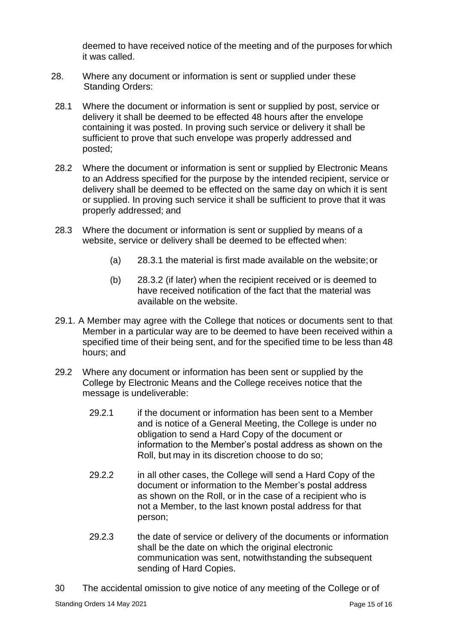deemed to have received notice of the meeting and of the purposes for which it was called.

- 28. Where any document or information is sent or supplied under these Standing Orders:
- 28.1 Where the document or information is sent or supplied by post, service or delivery it shall be deemed to be effected 48 hours after the envelope containing it was posted. In proving such service or delivery it shall be sufficient to prove that such envelope was properly addressed and posted;
- 28.2 Where the document or information is sent or supplied by Electronic Means to an Address specified for the purpose by the intended recipient, service or delivery shall be deemed to be effected on the same day on which it is sent or supplied. In proving such service it shall be sufficient to prove that it was properly addressed; and
- 28.3 Where the document or information is sent or supplied by means of a website, service or delivery shall be deemed to be effected when:
	- (a) 28.3.1 the material is first made available on the website;or
	- (b) 28.3.2 (if later) when the recipient received or is deemed to have received notification of the fact that the material was available on the website.
- 29.1. A Member may agree with the College that notices or documents sent to that Member in a particular way are to be deemed to have been received within a specified time of their being sent, and for the specified time to be less than 48 hours; and
- 29.2 Where any document or information has been sent or supplied by the College by Electronic Means and the College receives notice that the message is undeliverable:
	- 29.2.1 if the document or information has been sent to a Member and is notice of a General Meeting, the College is under no obligation to send a Hard Copy of the document or information to the Member's postal address as shown on the Roll, but may in its discretion choose to do so;
	- 29.2.2 in all other cases, the College will send a Hard Copy of the document or information to the Member's postal address as shown on the Roll, or in the case of a recipient who is not a Member, to the last known postal address for that person;
	- 29.2.3 the date of service or delivery of the documents or information shall be the date on which the original electronic communication was sent, notwithstanding the subsequent sending of Hard Copies.
- 30 The accidental omission to give notice of any meeting of the College or of